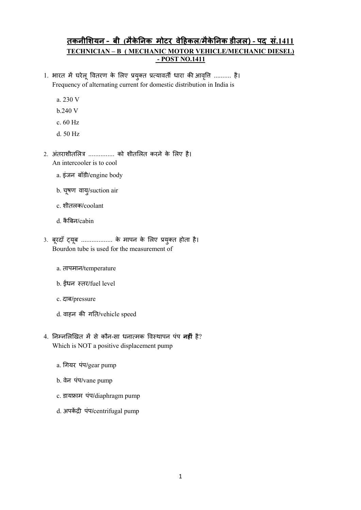## तकनीशियन - बी (मैकेनिक मोटर वेहिकल/मैकेनिक डीज़ल) - पद सं.1411 TECHNICIAN – B ( MECHANIC MOTOR VEHICLE/MECHANIC DIESEL) - POST NO.1411

- 1. भारत में घरेलू वितरण के लिए प्रयुक्त प्रत्यावर्ती धारा की आवृत्ति .......... है। Frequency of alternating current for domestic distribution in India is
	- a. 230 V
	- b.240 V
	- c. 60 Hz
	- d. 50 Hz
- 2. अंतराशीतलित्र ............... को शीतलित करने के लिए है। An intercooler is to cool
	- a. इंजन बॉडी/engine body
	- b. चू षण वाय/ ुsuction air
	- c. शीतलक/coolant
	- d. कै बन/cabin
- 3. बूरदां ट्यूब ................. के मापन के लिए प्रयुक्त होता है। Bourdon tube is used for the measurement of
	- a. तापमान/temperature
	- b. ईंधन स्तर/fuel level
	- c. दाब/pressure
	- d. वाहन की गति/vehicle speed
- 4. निम्नलिखित में से कौन-सा धनात्मक विस्थापन पंप **नहीं** है? Which is NOT a positive displacement pump
	- a. गयर पंप/gear pump
	- b. वेन पंप/vane pump
	- c. डायाम पंप/diaphragm pump
	- d. अपकेंद्री पंप/centrifugal pump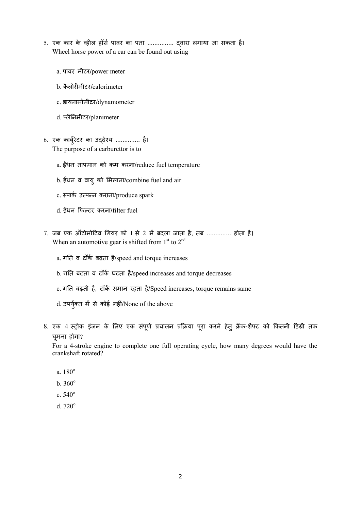- 5. एक कार के व्हील हॉर्स पावर का पता ............... द्वारा लगाया जा सकता है। Wheel horse power of a car can be found out using
	- a. पावर मीटर/power meter
	- b. कै लोरमीटर/calorimeter
	- c. डायनामोमीटर/dynamometer
	- d. लैनमीटर/planimeter
- 6. एक कार्बुरेटर का उद्देश्य ............... है। The purpose of a carburettor is to
	- a. ईंधन तापमान को कम करना/reduce fuel temperature
	- b. ईंधन व वायु को मिलाना/combine fuel and air
	- c. स्पार्क उत्पन्न कराना/produce spark
	- d. धन फटर करना/filter fuel
- $7.$  जब एक ऑटोमोटिव गियर को 1 से 2 में बदला जाता है, तब .............. होता है। When an automotive gear is shifted from  $1<sup>st</sup>$  to  $2<sup>nd</sup>$ 
	- a. गति व टॉर्क बढ़ता है/speed and torque increases
	- b. गति बढ़ता व टॉर्क घटता है/speed increases and torque decreases
	- c. गति बढ़ती है, टॉर्क समान रहता है/Speed increases, torque remains same
	- d. उपर्युक्त में से कोई नहीं/None of the above
- 8. एक 4 स्ट्रोक इंजन के लिए एक संपूर्ण प्रचालन प्रक्रिया पूरा करने हेतु क्रैंक-शैफ्ट को कितनी डिग्री तक घू मना होगा?

For a 4-stroke engine to complete one full operating cycle, how many degrees would have the crankshaft rotated?

- a. 180<sup>o</sup>
- $b. 360^{\circ}$
- c.  $540^{\circ}$
- d.  $720^\circ$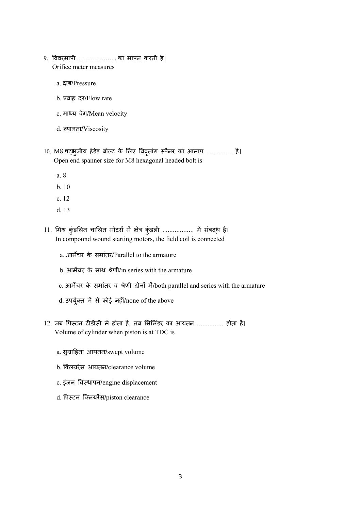- 9. ववरमापी ……………….. का मापन करती है। Orifice meter measures
	- a. दाब/Pressure
	- b. वाह दर/Flow rate
	- c. माध्य वेग/Mean velocity
	- d. यानता/Viscosity
- 10. M8 षट्भुजीय हेडेड बोल्ट के लिए विवृतांग स्पैनर का आमाप ............... है। Open end spanner size for M8 hexagonal headed bolt is
	- a. 8
	- b. 10
	- c. 12
	- d. 13
- 11. मिश्र कुंडलित चालित मोटरों में क्षेत्र कुंडली .................. में संबद्ध है। In compound wound starting motors, the field coil is connected
	- a. आमचर के समांतर/Parallel to the armature
	- b. आर्मेचर के साथ श्रेणी/in series with the armature
	- c. आर्मेचर के समांतर व श्रेणी दोनों में/both parallel and series with the armature
	- d. उपर्युक्त में से कोई नहीं/none of the above
- 12. जब पिस्टन टीडीसी में होता है, तब सिलिंडर का आयतन ............... होता है। Volume of cylinder when piston is at TDC is
	- a. सु ाहता आयतन/swept volume
	- b. क्लियरेंस आयतन/clearance volume
	- c. इंजन विस्थापन/engine displacement
	- d. पिस्टन क्लियरेंस/piston clearance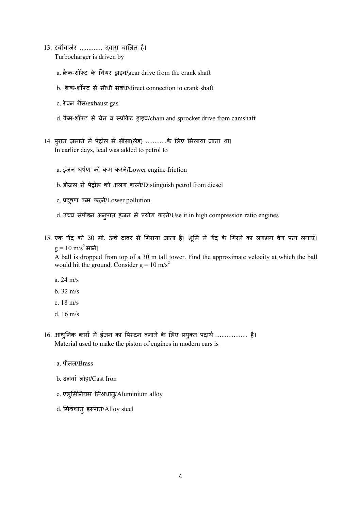- 13. टबचाजर ............. वारा चालत है। Turbocharger is driven by
	- a. क्रैक-शॉफ्ट के गियर ड्राइव/gear drive from the crank shaft
	- b. क्रैंक-शॉफ्ट से सीधी संबंध/direct connection to crank shaft
	- c. रेचन गैस/exhaust gas
	- d. कैम-शॉफ्ट से चेन व स्प्रोकेट ड्राइव/chain and sprocket drive from camshaft
- 14. पुरान ज़माने में पेट्रोल में सीसा(लेड) ............के लिए मिलाया जाता था। In earlier days, lead was added to petrol to
	- a. इंजन घषण को कम करने/Lower engine friction
	- b. डीजल से पेट्रोल को अलग करने/Distinguish petrol from diesel
	- c. प्रदूषण कम करने/Lower pollution
	- d. उच्च संपीडन अनुपात इंजन में प्रयोग करने/Use it in high compression ratio engines
- 15. एक गेंद को 30 मी. ऊंचे टावर से गिराया जाता है। भूमि में गेंद के गिरने का लगभग वेग पता लगाएं।  $g = 10 \text{ m/s}^2$  मानें।

A ball is dropped from top of a 30 m tall tower. Find the approximate velocity at which the ball would hit the ground. Consider  $g = 10$  m/s<sup>2</sup>

- a. 24 m/s
- b. 32 m/s
- c. 18 m/s
- d. 16 m/s
- 16. आधुनिक कारों में इंजन का पिस्टन बनाने के लिए प्रयुक्त पदार्थ .................. है। Material used to make the piston of engines in modern cars is
	- a. पीतल/Brass
	- b. ढलवां लोहा/Cast Iron
	- c. एलूमिनियम मिश्रधात्/Aluminium alloy
	- d. मिश्रधातु इस्पात/Alloy steel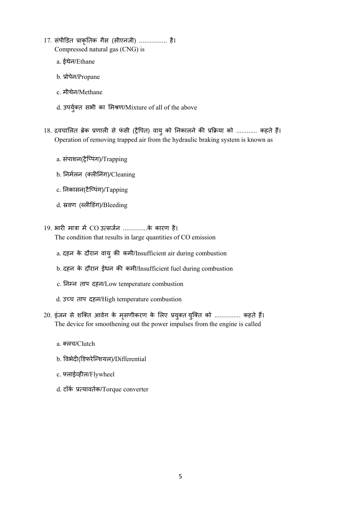- 17. संपीडत ाकृतक गैस (सीएनजी) ................ है। Compressed natural gas (CNG) is
	- a. ईथेन/Ethane
	- b. ोपेन/Propane
	- c. मीथेन/Methane
	- d. उपर्युक्त सभी का मिश्रण/Mixture of all of the above
- 18. द्रवचालित ब्रेक प्रणाली से फंसी (ट्रैपित) वायु को निकालने की प्रक्रिया को ............ कहते हैं। Operation of removing trapped air from the hydraulic braking system is known as
	- a. संपाशन(ैिपंग)/Trapping
	- b. निर्मलन (क्लीनिंग)/Cleaning
	- c. नकासन(टैिपंग)/Tapping
	- d. स्रवण (ब्लीडिंग)/Bleeding
- 19. भारी मात्रा में CO उत्सर्जन ..............के कारण है।

The condition that results in large quantities of CO emission

- a. दहन के दौरान वायु क कमी/Insufficient air during combustion
- b. दहन के दौरान ईंधन की कमी/Insufficient fuel during combustion
- c. निम्न ताप दहन/Low temperature combustion
- d. उच्च ताप दहन/High temperature combustion
- 20. इंजन से शक्ति आवेग के मृसणीकरण के लिए प्रयुक्त युक्ति को ............... कहते हैं। The device for smoothening out the power impulses from the engine is called
	- a. लच/Clutch
	- b. वभेद(डफरेिशयल)/Differential
	- c. लाईहल/Flywheel
	- d. टॉक यावतक/Torque converter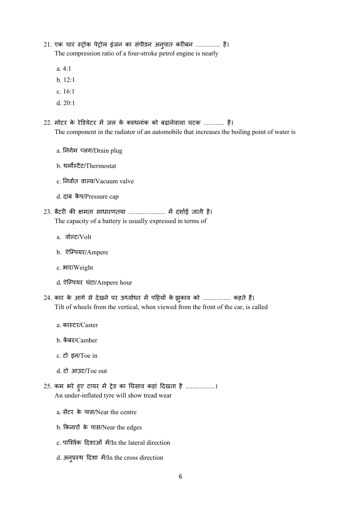- 21. एक चार स्ट्रोक पेट्रोल इंजन का संपीडन अनुपात करीबन .............. है। The compression ratio of a four-stroke petrol engine is nearly
	- a. 4:1
	- b. 12:1
	- c. 16:1
	- d. 20:1
- 22. मोटर के रेडियेटर में जल के क्वथनांक को बढ़ानेवाला घटक ............ है। The component in the radiator of an automobile that increases the boiling point of water is
	- a. निर्गम प्लग/Drain plug
	- b. थर्मोस्टैट/Thermostat
	- c. निर्वात वाल्व/Vacuum valve
	- d. दाब कै प/Pressure cap
- 23. बैटरी की क्षमता साधारणतया .............................. में दर्शाई जाती है। The capacity of a battery is usually expressed in terms of
	- a. वोल्ट/Volt
	- b. ऐिपयर/Ampere
	- c. भार/Weight
	- d. ऐिपयर घंटा/Ampere hour
- 24. कार के आगे से देखने पर ऊर्ध्वाधर में पहियों के झुकाव को ................ कहते हैं। Tilt of wheels from the vertical, when viewed from the front of the car, is called
	- a. काटर/Caster
	- b. केंबर/Camber
	- c. टो इन/Toe in
	- d. टो आउट/Toe out
- 25. कम भरे हुए टायर में ट्रेड का घिसाव कहां दिखता है .................। An under-inflated tyre will show tread wear
	- a. सेंटर के पास/Near the centre
	- b. किनारों के पास/Near the edges
	- c. पािवक दशाओं म/In the lateral direction
	- d. अनु थ दशा म/In the cross direction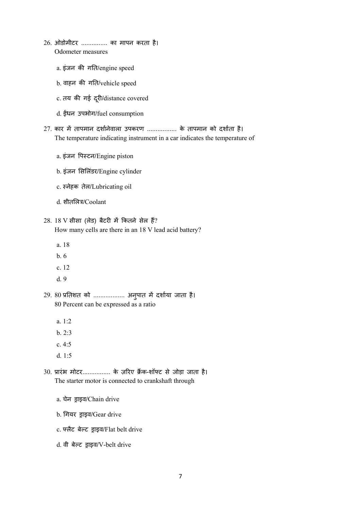- 26. ओडोमीटर ............... का मापन करता है। Odometer measures
	- a. इंजन की गति/engine speed
	- b. वाहन की गति/vehicle speed
	- c. तय की गई दूरी/distance covered
	- d. धन उपभोग/fuel consumption
- $27.$  कार में तापमान दर्शानेवाला उपकरण ................. के तापमान को दर्शाता है। The temperature indicating instrument in a car indicates the temperature of
	- a. इंजन पिस्टन/Engine piston
	- b. इंजन सिलिंडर/Engine cylinder
	- c. नेहक तेल/Lubricating oil
	- d. शीतलित्र/Coolant

## $28.18$  V सीसा (लेड) बैटरी में कितने सेल हैं? How many cells are there in an 18 V lead acid battery?

- a. 18
- b. 6
- c. 12
- d. 9
- 29. 80 प्रतिशत को .................. अनुपात में दर्शाया जाता है। 80 Percent can be expressed as a ratio
	- a. 1:2
	- b. 2:3
	- c. 4:5
	- d. 1:5
- 30. प्रारंभ मोटर................ के ज़रिए क्रैंक-शॉफ्ट से जोड़ा जाता है। The starter motor is connected to crankshaft through
	- a. चेन ड्राइव/Chain drive
	- b. गियर ड्राइव/Gear drive
	- c. फ्लैट बेल्ट ड्राइव/Flat belt drive
	- d. वी बेल्ट ड़ाइव/V-belt drive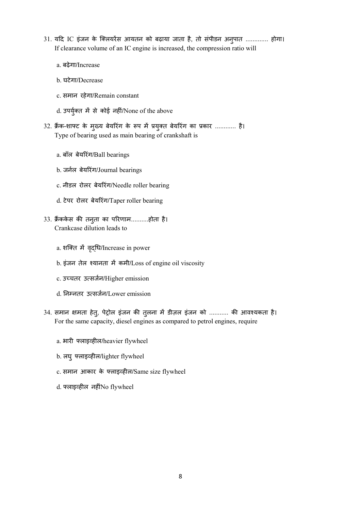- 31. यदि IC इंजन के क्लियरेंस आयतन को बढ़ाया जाता है, तो संपीडन अन्**पात ............. होगा**। If clearance volume of an IC engine is increased, the compression ratio will
	- a. बढ़ेगा/Increase
	- b. घटेगा/Decrease
	- c. समान रहेगा/Remain constant
	- d. उपर्युक्त में से कोई नहीं/None of the above
- 32. क्रैंक-शाफ्ट के मुख्य बेयरिंग के रूप में प्रयुक्त बेयरिंग का प्रकार ............ है। Type of bearing used as main bearing of crankshaft is
	- a. बॉल बेयरंग/Ball bearings
	- b. जनल बेयरंग/Journal bearings
	- c. नीडल रोलर बेयरंग/Needle roller bearing
	- d. टेपर रोलर बेयरंग/Taper roller bearing
- 33. क्रैंककेस की तनुता का परिणाम………..होता है। Crankcase dilution leads to
	- a. शक्ति में वृद्धि/Increase in power
	- b. इंजन तेल श्यानता में कमी/Loss of engine oil viscosity
	- c. उचतर उसजन/Higher emission
	- d. ननतर उसजन/Lower emission
- 34. समान क्षमता हेतु, पेट्रोल इंजन की तुलना में डीज़ल इंजन को ........... की आवश्यकता है। For the same capacity, diesel engines as compared to petrol engines, require
	- a. भारी फ्लाइव्हील/heavier flywheel
	- b. लघु फ्लाइव्हील/lighter flywheel
	- c. समान आकार के लाइहल/Same size flywheel
	- d. फ्लाइव्हील नहींNo flywheel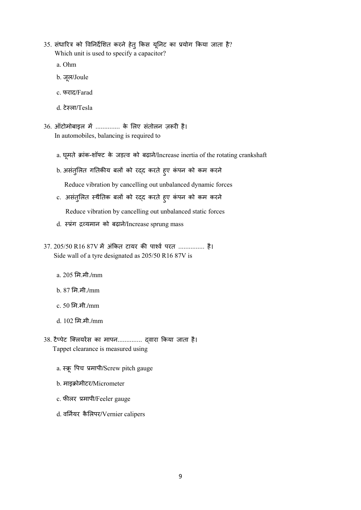35. संधारित्र को विनिर्देशित करने हेतु किस यूनिट का प्रयोग किया जाता है? Which unit is used to specify a capacitor?

a. Ohm

- b. जू ल/Joule
- c. फराद/Farad
- d. टेला/Tesla
- 36. ऑटोमोबाइल में .............. के लिए संतोलन ज़रूरी है। In automobiles, balancing is required to
	- a. घूमते क्रांक-शॉफ्ट के जड़त्व को बढ़ाने/Increase inertia of the rotating crankshaft
	- b. असंतुलित गतिकीय बलों को रद्द करते हुए कंपन को कम करने Reduce vibration by cancelling out unbalanced dynamic forces
	- c. असंतुलित स्थैतिक बलों को रद्द करते हुए कंपन को कम करने Reduce vibration by cancelling out unbalanced static forces
	- d. स्प्रंग द्रव्यमान को बढ़ाने/Increase sprung mass
- 37. 205/50 R16 87V में अंकित टायर की पार्श्व परत ............... है। Side wall of a tyre designated as 205/50 R16 87V is
	- a. 205 म.मी./mm
	- b. 87 म.मी./mm
	- c. 50 म.मी./mm
	- d. 102 म.मी./mm
- 38. टैप्पेट क्लियरेंस का मापन.............. द्वारा किया जाता है। Tappet clearance is measured using
	- a. स्क्रू पिच प्रमापी/Screw pitch gauge
	- b. माइक्रोमीटर/Micrometer
	- c. फीलर प्रमापी/Feeler gauge
	- d. वर्नियर कैलिपर/Vernier calipers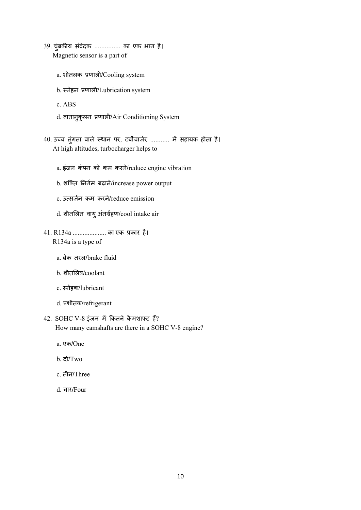- 39. चुंबकीय संवेदक ............... का एक भाग है। Magnetic sensor is a part of
	- a. शीतलक प्रणाली/Cooling system
	- b. नेहन णाल/Lubrication system
	- c. ABS
	- d. वातानुकूलन प्रणाली/Air Conditioning System
- 40. उच्च तुंगता वाले स्थान पर, टर्बोचार्जर ........... में सहायक होता है। At high altitudes, turbocharger helps to
	- a. इंजन कंपन को कम करने/reduce engine vibration
	- b. शक्ति निर्गम बढ़ाने/increase power output
	- c. उसजन कम करने/reduce emission
	- d. शीतलत वायुअंतहण/cool intake air
- 41. R134a .................... का एक कार है। R134a is a type of
	- a. ब्रेक तरल/brake fluid
	- b. शीतलित्र/coolant
	- c. नेहक/lubricant
	- d. शीतक/refrigerant
- $42.$  SOHC V-8 इंजन में कितने कैमशाफ्ट हैं? How many camshafts are there in a SOHC V-8 engine?
	- a. एक/One
	- b. दो/Two
	- c. तीन/Three
	- d. चार/Four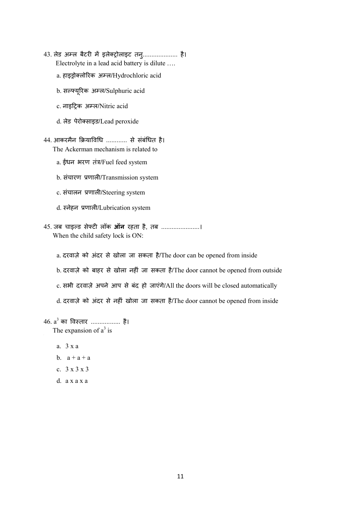- 43. लेड अम्ल बैटरी में इलेक्ट्रोलाइट तनु..................... है। Electrolyte in a lead acid battery is dilute ….
	- a. हाइड्रोक्लोरिक अम्ल/Hydrochloric acid
	- b. सयूरक अल/Sulphuric acid
	- c. नाइट्रिक अम्ल/Nitric acid
	- d. लेड पेरोसाइड/Lead peroxide
- 44. आकरमैन क्रियाविधि ............ से संबंधित है। The Ackerman mechanism is related to
	- a. ईंधन भरण तंत्र/Fuel feed system
	- b. संचारण णाल/Transmission system
	- c. संचालन णाल/Steering system
	- d. नेहन णाल/Lubrication system
- 45. जब चाइल्ड सेफ्टी लॉक **ऑन** रहता है, तब ....................... When the child safety lock is ON:
	- a. दरवाज़े को अंदर से खोला जा सकता है/The door can be opened from inside
	- b. दरवाज़े को बाहर से खोला नहं जा सकता है/The door cannot be opened from outside
	- c. सभी दरवाज़े अपने आप से बंद हो जाएंगे/All the doors will be closed automatically
	- d. दरवाज़े को अंदर से नहं खोला जा सकता है/The door cannot be opened from inside

## 46.  $\mathsf{a}^3$  का विस्तार .................... है।

The expansion of  $a^3$  is

- a. 3 x a
- b.  $a + a + a$
- c. 3 x 3 x 3
- d. a x a x a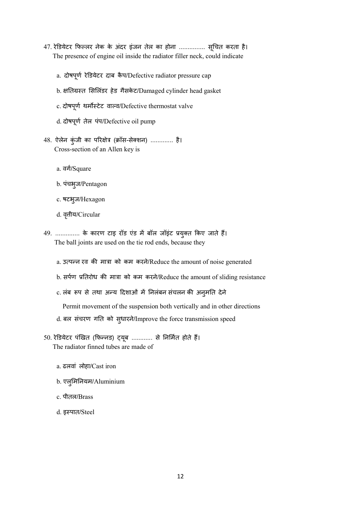- 47. रेडयेटर फलर नेक के अंदर इंजन तेल का होना ............... सूचत करता है। The presence of engine oil inside the radiator filler neck, could indicate
	- a. दोषपूर्ण रेडियेटर दाब कैप/Defective radiator pressure cap
	- b. क्षतिग्रस्त सिलिंडर हेड गैसकेट/Damaged cylinder head gasket
	- c. दोषपू ण थमटेट वाव/Defective thermostat valve
	- d. दोषपू ण तेल पंप/Defective oil pump
- 48. ऐलेन कुंजी का परिक्षेत्र (क्रॉस-सेक्शन) ............. है। Cross-section of an Allen key is
	- a. वग/Square
	- b. पंचभु ज/Pentagon
	- c. षटभु ज/Hexagon
	- d. वृत्तीय/Circular
- 49. .............. के कारण टाइ रॉड एंड में बॉल जॉइंट प्रयुक्त किए जाते हैं। The ball joints are used on the tie rod ends, because they
	- a. उत्पन्न रव की मात्रा को कम करने/Reduce the amount of noise generated
	- b. सर्पण प्रतिरोध की मात्रा को कम करने/Reduce the amount of sliding resistance
	- c. लंब रूप से तथा अन्य दिशाओं में निलंबन संचलन की अनुमति देने

Permit movement of the suspension both vertically and in other directions

- d. बल संचरण गति को सुधारने/Improve the force transmission speed
- 50. रेडियेटर पंखित (फिन्नड) ट्यूब ............ से निर्मित होते हैं। The radiator finned tubes are made of
	- a. ढलवां लोहा/Cast iron
	- b. एलुमनयम/Aluminium
	- c. पीतल/Brass
	- d. इपात/Steel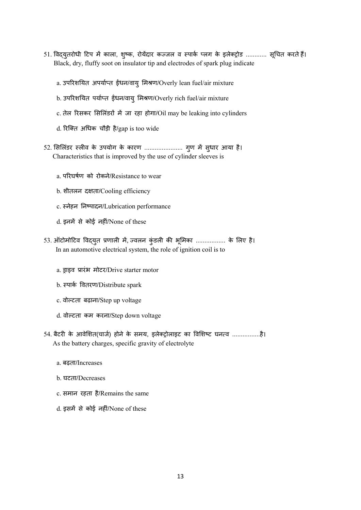- 51. विद्युतरोधी टिप में काला, शुष्क, रोयेंदार कज्जल व स्पार्क प्लग के इलेक्ट्रोड ............ सूचित करते हैं। Black, dry, fluffy soot on insulator tip and electrodes of spark plug indicate
	- a. उपरिशयित अपर्याप्त ईधन/वायु मिश्रण/Overly lean fuel/air mixture
	- b. उपरिशयित पर्याप्त ईंधन/वायु मिश्रण/Overly rich fuel/air mixture
	- c. तेल रिसकर सिलिंडरों में जा रहा होगा/Oil may be leaking into cylinders
	- d. रिक्ति अधिक चौड़ी है/gap is too wide
- 52. सिलिंडर स्लीव के उपयोग के कारण ....................... गुण में सुधार आया है। Characteristics that is improved by the use of cylinder sleeves is
	- a. परघषण को रोकने/Resistance to wear
	- b. शीतलन दता/Cooling efficiency
	- c. नेहन नपादन/Lubrication performance
	- d. इनमें से कोई नहीं/None of these
- 53. ऑटोमोटिव विद्युत प्रणाली में, ज्वलन कुंडली की भूमिका ................. के लिए है। In an automotive electrical system, the role of ignition coil is to
	- a. ड्राइव प्रारंभ मोटर/Drive starter motor
	- b. पाक वतरण/Distribute spark
	- c. वोटता बढ़ाना/Step up voltage
	- d. वोटता कम करना/Step down voltage
- 54. बैटरी के आवेशित(चार्ज) होने के समय, इलेक्ट्रोलाइट का विशिष्ट घनत्व ..................है। As the battery charges, specific gravity of electrolyte
	- a. बढ़ता/Increases
	- b. घटता/Decreases
	- c. समान रहता है/Remains the same
	- d. इसमें से कोई नहीं/None of these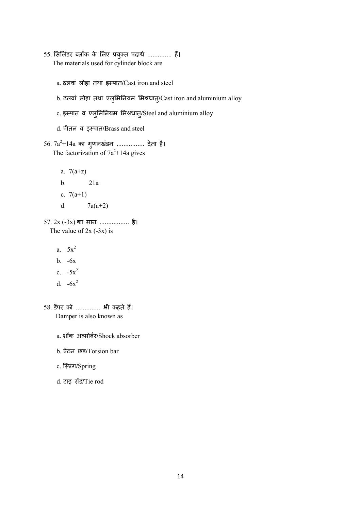- 55. सिलिंडर ब्लॉक के लिए प्रयुक्त पदार्थ .............. हैं। The materials used for cylinder block are
	- a. ढलवां लोहा तथा इपात/Cast iron and steel
	- b. ढलवां लोहा तथा एलुमिनियम मिश्रधात्/Cast iron and aluminium alloy
	- c. इस्पात व एलुमिनियम मिश्रधात्/Steel and aluminium alloy
	- d. पीतल व इपात/Brass and steel
- $56$ .  $7\mathrm{a}^2\text{+}14\mathrm{a}$  का गुणनखंडन .................. देता है। The factorization of  $7a^2+14a$  gives
	- a.  $7(a+z)$ b. 21a c.  $7(a+1)$ d.  $7a(a+2)$
- 57. 2x (-3x) का मान ................. है। The value of  $2x (-3x)$  is
	- a.  $5x^2$
	- b. -6x
	- c.  $-5x^2$
	- d.  $-6x^2$
- 58. डपर को .............. भी कहते ह। Damper is also known as
	- a. शॉक असोबर/Shock absorber
	- b. ऐंठन छड/Torsion bar
	- c. स्प्रिंग/Spring
	- d. टाइ रॉड/Tie rod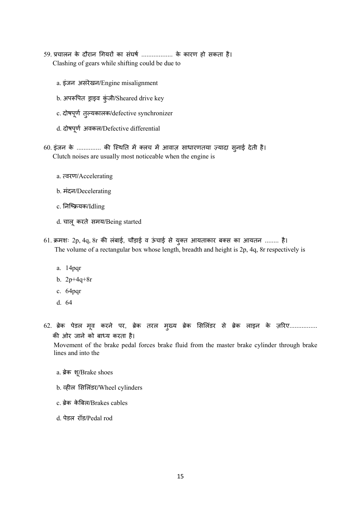- 59. प्रचालन के दौरान गियरों का संघर्ष ................... के कारण हो सकता है। Clashing of gears while shifting could be due to
	- a. इंजन असंरेखन/Engine misalignment
	- b. अपरूपित ड्राइव कुंजी/Sheared drive key
	- c. दोषपू ण तु यकालक/defective synchronizer
	- d. दोषपू ण अवकल/Defective differential
- 60 इंजन के .............. की स्थिति में क्लच में आवाज़ साधारणतया ज़्यादा सुनाई देती है। Clutch noises are usually most noticeable when the engine is
	- a. वरण/Accelerating
	- b. मंदन/Decelerating
	- c. नियक/Idling
	- d. चालू करते समय/Being started
- 61. क्रमशः 2p, 4q, 8r की लंबाई, चौड़ाई व ऊंचाई से युक्त आयताकार बक्स का आयतन ........ है। The volume of a rectangular box whose length, breadth and height is 2p, 4q, 8r respectively is
	- a. 14pqr
	- b. 2p+4q+8r
	- c. 64pqr
	- d. 64
- 62. ब्रेक पेडल मूव करने पर, ब्रेक तरल मुख्य ब्रेक सिलिंडर से ब्रेक लाइन के ज़रिए................ की ओर जाने को बाध्य करता है।

 Movement of the brake pedal forces brake fluid from the master brake cylinder through brake lines and into the

- a. ब्रेक शू/Brake shoes
- b. व्हील सिलिंडर/Wheel cylinders
- c. ब्रेक केबिल/Brakes cables
- d. पेडल रॉड/Pedal rod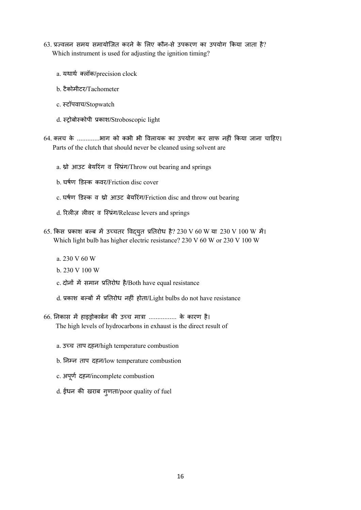- $63$ . प्रज्वलन समय समायोजित करने के लिए कौन-से उपकरण का उपयोग किया जाता है? Which instrument is used for adjusting the ignition timing?
	- a. यथाथ लॉक/precision clock
	- b. टैकोमीटर/Tachometer
	- c. टॉपवाच/Stopwatch
	- d. ोबोकोपी काश/Stroboscopic light
- 64. लच के .............भाग को कभी भी वलायक का उपयोग कर साफ नहं कया जाना चाहए। Parts of the clutch that should never be cleaned using solvent are
	- a. थ्रो आउट बेयरिंग व स्प्रिंग/Throw out bearing and springs
	- b. घर्षण डिस्क कवर/Friction disc cover
	- c. घर्षण डिस्क व थ्रो आउट बेयरिंग/Friction disc and throw out bearing
	- d. रिलीज़ लीवर व स्प्रिंग/Release levers and springs
- 65. किस प्रकाश बल्ब में उच्चतर विद्युत प्रतिरोध है? 230 V 60 W या 230 V 100 W में। Which light bulb has higher electric resistance? 230 V 60 W or 230 V 100 W
	- a. 230 V 60 W
	- b. 230 V 100 W
	- c. दोनों में समान प्रतिरोध है/Both have equal resistance
	- d. प्रकाश बल्बों में प्रतिरोध नहीं होता/Light bulbs do not have resistance
- 66. निकास में हाइड़ोकार्बन की उच्च मात्रा ................ के कारण है। The high levels of hydrocarbons in exhaust is the direct result of
	- a. उच्च ताप दहन/high temperature combustion
	- b. निम्न ताप दहन/low temperature combustion
	- c. अपू ण दहन/incomplete combustion
	- d. ईंधन की खराब गुणता/poor quality of fuel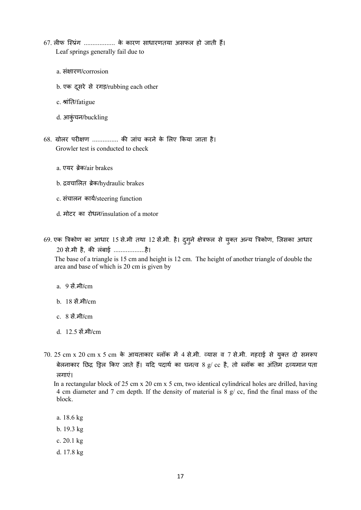- 67. लीफ स्प्रिंग ................... के कारण साधारणतया असफल हो जाती हैं। Leaf springs generally fail due to
	- a. संक्षारण/corrosion
	- b. एक दूसरे से रगड़/rubbing each other
	- c. श्रांति/fatigue
	- d. आकुंचन/buckling
- 68. ग्रोलर परीक्षण .............. की जांच करने के लिए किया जाता है। Growler test is conducted to check
	- a. एयर ब्रेक/air brakes
	- b. वचालत ेक/hydraulic brakes
	- c. संचालन काय/steering function
	- d. मोटर का रोधन/insulation of a motor
- 69. एक त्रिकोण का आधार 15 से.मी तथा 12 से.मी. है। दुगुने क्षेत्रफल से युक्त अन्य त्रिकोण, जिसका आधार 20 से.मी है, की लंबाई ...................है।

The base of a triangle is 15 cm and height is 12 cm. The height of another triangle of double the area and base of which is 20 cm is given by

- a. 9 सें.मी/cm
- b. 18 सें.मी/cm
- $c \times 8$  सें.मी/ $cm$
- d. 12.5 सें.मी/cm
- 70. 25 cm x 20 cm x 5 cm के आयताकार ब्लॉक में 4 से.मी. व्यास व 7 से.मी. गहराई से युक्त दो समरूप बेलनाकार छिद्र ड्रिल किए जाते हैं। यदि पदार्थ का घनत्व 8 g/ cc है, तो ब्लॉक का अंतिम द्रव्यमान पता लगाएं।

 In a rectangular block of 25 cm x 20 cm x 5 cm, two identical cylindrical holes are drilled, having 4 cm diameter and 7 cm depth. If the density of material is 8 g/ cc, find the final mass of the block.

- a. 18.6 kg
- b. 19.3 kg
- c. 20.1 kg
- d. 17.8 kg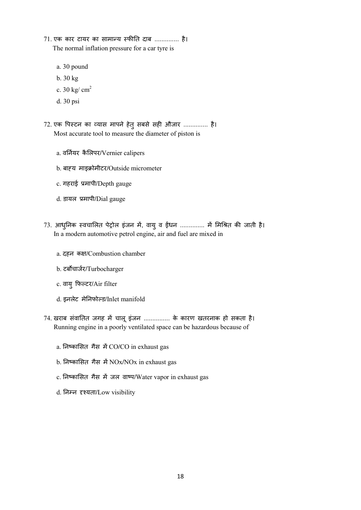- 71. एक कार टायर का सामान्य स्फीति दाब .............. है। The normal inflation pressure for a car tyre is
	- a. 30 pound
	- b. 30 kg
	- c. 30 kg/ cm<sup>2</sup>
	- d. 30 psi
- 72. एक पिस्टन का व्यास मापने हेत् सबसे सही औजार .............. है। Most accurate tool to measure the diameter of piston is
	- a. वर्नियर कैलिपर/Vernier calipers
	- b. बाह्य माइक्रोमीटर/Outside micrometer
	- c. गहराई मापी/Depth gauge
	- d. डायल मापी/Dial gauge
- 73. आधुनिक स्वचालित पेट्रोल इंजन में, वायु व ईंधन .............. में मिश्रित की जाती है। In a modern automotive petrol engine, air and fuel are mixed in
	- a. दहन कक्ष/Combustion chamber
	- b. टबचाजर/Turbocharger
	- c. वायु फटर/Air filter
	- d. इनलेट मेनफोड/Inlet manifold
- 74. खराब संवातित जगह में चालू इंजन ............... के कारण खतरनाक हो सकता है। Running engine in a poorly ventilated space can be hazardous because of
	- a. निष्कासित गैस में CO/CO in exhaust gas
	- b. निष्कासित गैस में NOx/NOx in exhaust gas
	- c. निष्कासित गैस में जल वाष्प/Water vapor in exhaust gas
	- d. निम्न दृश्यता/Low visibility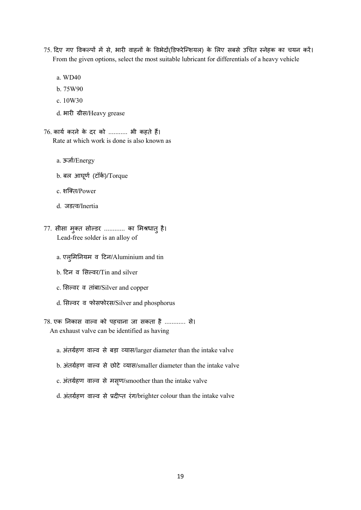- 75. दिए गए विकल्पों में से, भारी वाहनों के विभेदों(डिफरेन्शियल) के लिए सबसे उचित स्नेहक का चयन करें। From the given options, select the most suitable lubricant for differentials of a heavy vehicle
	- a. WD40
	- b. 75W90
	- c. 10W30
	- d. भारी ग्रीस/Heavy grease
- $76.$  कार्य करने के दर को ........... भी कहते हैं। Rate at which work is done is also known as
	- a. ऊजा/Energy
	- b. बल आघू ण (टॉक)/Torque
	- c. शित/Power
	- d. जडव/Inertia
- 77. सीसा मुक्त सोल्डर ............ का मिश्रधातु है। Lead-free solder is an alloy of
	- a. एलुमनयम व टन/Aluminium and tin
	- b. टन व सवर/Tin and silver
	- c. सिल्वर व तांबा/Silver and copper
	- d. सिल्वर व फोसफोरस/Silver and phosphorus
- 78. एक निकास वाल्व को पहचाना जा सकता है ............ से। An exhaust valve can be identified as having
	- a. अंतर्ग्रहण वाल्व से बड़ा व्यास/larger diameter than the intake valve
	- b. अंतर्ग्रहण वाल्व से छोटे व्यास/smaller diameter than the intake valve
	- c. अंतर्ग्रहण वाल्व से मसृण/smoother than the intake valve
	- d. अंतर्ग्रहण वाल्व से प्रदीप्त रंग/brighter colour than the intake valve